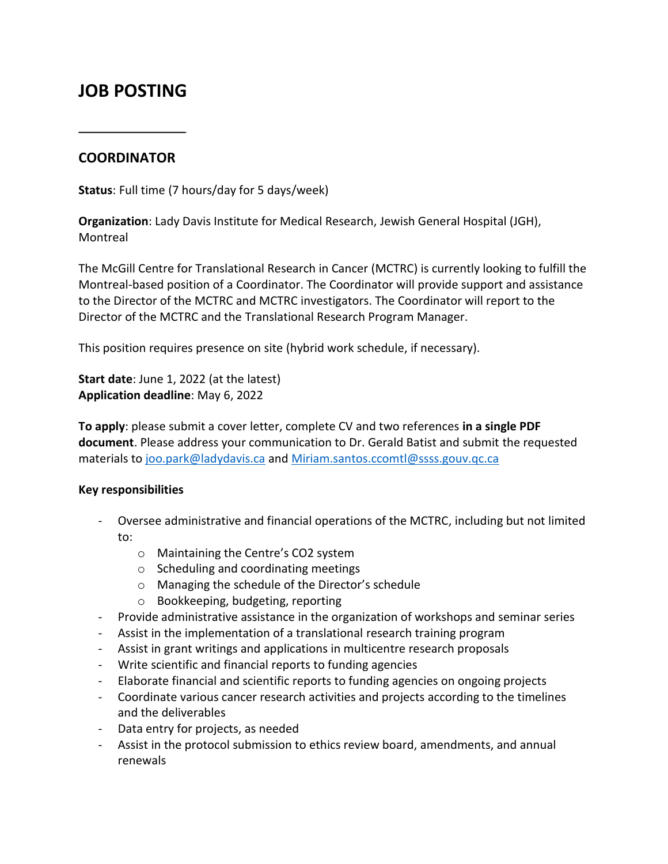## **JOB POSTING**

## **COORDINATOR**

**Status**: Full time (7 hours/day for 5 days/week)

**Organization**: Lady Davis Institute for Medical Research, Jewish General Hospital (JGH), **Montreal** 

The McGill Centre for Translational Research in Cancer (MCTRC) is currently looking to fulfill the Montreal-based position of a Coordinator. The Coordinator will provide support and assistance to the Director of the MCTRC and MCTRC investigators. The Coordinator will report to the Director of the MCTRC and the Translational Research Program Manager.

This position requires presence on site (hybrid work schedule, if necessary).

**Start date**: June 1, 2022 (at the latest) **Application deadline**: May 6, 2022

**To apply**: please submit a cover letter, complete CV and two references **in a single PDF document**. Please address your communication to Dr. Gerald Batist and submit the requested materials to [joo.park@ladydavis.ca](mailto:joo.park@ladydavis.ca) and [Miriam.santos.ccomtl@ssss.gouv.qc.ca](mailto:Miriam.santos.ccomtl@ssss.gouv.qc.ca)

## **Key responsibilities**

- Oversee administrative and financial operations of the MCTRC, including but not limited to:
	- o Maintaining the Centre's CO2 system
	- o Scheduling and coordinating meetings
	- o Managing the schedule of the Director's schedule
	- o Bookkeeping, budgeting, reporting
- Provide administrative assistance in the organization of workshops and seminar series
- Assist in the implementation of a translational research training program
- Assist in grant writings and applications in multicentre research proposals
- Write scientific and financial reports to funding agencies
- Elaborate financial and scientific reports to funding agencies on ongoing projects
- Coordinate various cancer research activities and projects according to the timelines and the deliverables
- Data entry for projects, as needed
- Assist in the protocol submission to ethics review board, amendments, and annual renewals